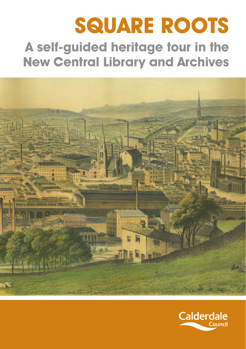# **SQUARE ROOTS A self-guided heritage tour in the New Central Library and Archives**



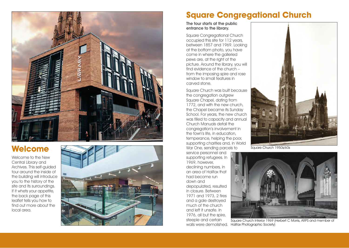

### **Welcome**

Welcome to the New Central Library and Archives. This self-guided tour around the inside of the building will introduce you to the history of the site and its surroundings. If it whets your appetite, the back page of this leaflet tells you how to find out more about the local area.



### **Square Congregational Church**

#### The tour starts at the public entrance to the library.

Square Congregational Church occupied this site for 112 years, between 1857 and 1969. Looking at the bottom photo, you have come in where the galleried pews are, at the right of the picture. Around the library, you will find evidence of the church – from the imposing spire and rose window to small features in carved stone.

Square Church was built because the congregation outgrew Square Chapel, dating from 1772, and with the new church, the Chapel became its Sunday School. For years, the new church was filled to capacity and annual Church Manuals detail the congregation's involvement in the town's life, in education, temperance, helping the poor, supporting charities and, in World War One, sending parcels to

service personnel and supporting refugees. In 1969, however, declining numbers, in an area of Halifax that had become run down and depopulated, resulted in closure. Between 1971 and 1973, 2 fires and a gale destroyed much of the church and left it unsafe. In 1976, all but the spire, steeple and certain walls were demolished.



Square Church 1950s/60s



Square Church Interior 1969 (Herbert C Morris, ARPS and member of Halifax Photographic Society)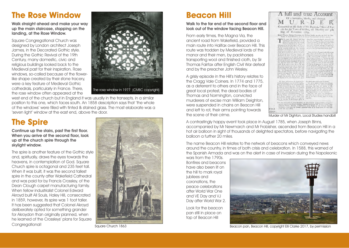# **The Rose Window**

Walk straight ahead and make your way up the main staircase, stopping on the landing, at the Rose Window.

Square Congregational Church was designed by London architect Joseph James, in the Decorated Gothic style. During the Gothic Revival of the 19th Century, many domestic, civic and religious buildings looked back to the Medieval past for their inspiration. Rose windows, so-called because of the flowerlike shape created by their stone tracery, were a key feature of Medieval Gothic cathedrals, particularly in France. There, the rose window often appeared at the



west end of the church but in England it was usually in the transepts, in a similar position to this one, which faces south. An 1858 description says that 'the whole of the windows' were filled with tinted & stained glass. The most elaborate was a 'seven light' window at the east end, above the door.

## **The Spire**

Continue up the stairs, past the first floor. When you arrive at the second floor, look up at the church spire through the skylight window.

The spire is another feature of the Gothic style and, spiritually, draws the eyes towards the heavens, in contemplation of God. Square Church spire is octagonal and 235 feet tall. When it was built, it was the second tallest spire in the county after Wakefield Cathedral and was paid for by Francis Crossley, of the Dean Clough carpet manufacturing family. When fellow industrialist Colonel Edward Akroyd built All Souls, Haley Hill, consecrated in 1859, however, its spire was 1 foot taller. It has been suggested that Colonel Akroyd deliberately opted for something grander for Akroydon than originally planned, when he learned of the Crossleys' plans for Square Congregational!



Square Church 1863

### **Beacon Hill**

#### Walk to the far end of the second floor and look out of the window facing Beacon Hill.

From early times, the Magna Via, the ancient road from Wakefield, provided a main route into Halifax over Beacon Hill. This route was trodden by Medieval lords of the manor and their men, by packhorses transporting wool and finished cloth, by Sir Thomas Fairfax after English Civil War defeat and by the preacher John Wesley.

A grisly episode in the Hill's history relates to the Cragg Vale Coiners. In 1774 and 1775, as a deterrent to others and in the face of great local protest, the dead bodies of Thomas and Normington, convicted murderers of excise man William Deighton, were suspended in chains on Beacon Hill and left to rot, their arms pointing towards the scene of their crime.

| Robert Thoma, Mathew Naturaton, and William Fowler, are taken up, that the lafor-<br>mation of James Broadless, to an turning and who communed the above market,<br>1H E above Mr. Digton, had been<br>trantating to finite a "the stay at the<br>gilt of November sonty the typerate.<br>when he chanced to be and unit by<br>company prote late that night ; and in rang-<br>as can be companyd it was preven o'corea ta-<br>fore the company broke up ; Mr. Digitizes<br>took leave and tail good mane, and went by<br>bouled towards money to a place cannot buil-<br>Clofe, about a question a male from Flatfort,<br>he had not got showe built way, which he was<br>first upon by frite pretox or period on-<br>soown ; they no looner law that he full down,<br>but, it is fuppofed, they reflect upout him and<br>Bamped on his breath south his way quincules for<br>as a perform deviloyed who helped no say him.<br>ever, that the treates were villing applies her<br>breat of the nails of their fit on y he was<br>from to have between now and see growing in-<br>his pockets, which their virtuous area play-<br>first type stad the firstid crimic, taux from<br>bles. It is though they watered hand in net-<br>rowly tile tame evening, that they fam when<br>death for was regulated the und the circle rings.<br>the tunnary truks up ; it is klassic<br>thought, rise the gines where me was flare.<br>his elizar research.<br>first middle of the poets worked three quests<br>We have list recival the falsalogue-<br>tha marks were visible upon his beast.<br>could cantivering the massler of Mt-13 among<br>thing the intermation of our House developes,<br>at Mythometed Brytas, non-Hairley, who<br>few boos on calludy more party and incluve.<br>the a webst Robert Thomas note the per- | Day of November, 1769,                 | Committed on the Body of Mr. Dighton, Officer of Ex-<br>cife for the Town of Halifax, on Thurlday the oth                                                                                                                                                                                                                                                                                                                                                                                                                                                                                                                                                                                                                                                                                                                                                                                                                                                                                                                                                                                                                                                                      |
|----------------------------------------------------------------------------------------------------------------------------------------------------------------------------------------------------------------------------------------------------------------------------------------------------------------------------------------------------------------------------------------------------------------------------------------------------------------------------------------------------------------------------------------------------------------------------------------------------------------------------------------------------------------------------------------------------------------------------------------------------------------------------------------------------------------------------------------------------------------------------------------------------------------------------------------------------------------------------------------------------------------------------------------------------------------------------------------------------------------------------------------------------------------------------------------------------------------------------------------------------------------------------------------------------------------------------------------------------------------------------------------------------------------------------------------------------------------------------------------------------------------------------------------------------------------------------------------------------------------------------------------------------------------------------------------------------------------------------------------------------------------------------------------------------------------------------|----------------------------------------|--------------------------------------------------------------------------------------------------------------------------------------------------------------------------------------------------------------------------------------------------------------------------------------------------------------------------------------------------------------------------------------------------------------------------------------------------------------------------------------------------------------------------------------------------------------------------------------------------------------------------------------------------------------------------------------------------------------------------------------------------------------------------------------------------------------------------------------------------------------------------------------------------------------------------------------------------------------------------------------------------------------------------------------------------------------------------------------------------------------------------------------------------------------------------------|
|                                                                                                                                                                                                                                                                                                                                                                                                                                                                                                                                                                                                                                                                                                                                                                                                                                                                                                                                                                                                                                                                                                                                                                                                                                                                                                                                                                                                                                                                                                                                                                                                                                                                                                                                                                                                                            |                                        |                                                                                                                                                                                                                                                                                                                                                                                                                                                                                                                                                                                                                                                                                                                                                                                                                                                                                                                                                                                                                                                                                                                                                                                |
|                                                                                                                                                                                                                                                                                                                                                                                                                                                                                                                                                                                                                                                                                                                                                                                                                                                                                                                                                                                                                                                                                                                                                                                                                                                                                                                                                                                                                                                                                                                                                                                                                                                                                                                                                                                                                            |                                        | from him a scory viewing the place school he<br>was Dort, it is hoppened they convenied them-<br>firm in a went of the field near a gate thirt<br>helina the Law where Mr Dighton was to<br>paint in first may home, and upon shingan show.<br>kwillen thro piece, in the marks of the flaft<br>are to its term upon finth Bayes of the joint-<br>Great mombers of people flock daily to the<br>plant wishs for way then, who are all allow-<br>million as the harmony of monkind, and efpe-<br>in the ambitunum Mr. Dignon, why fast<br>forprisingly malificrous to finding out and<br>falling up part at a gam, of sillars, who are<br>committed together in his ave, security cost parts<br>10, the cosmity, and early an their distinguise.<br>of claying and general the current corn of<br>of the Kingdom. Per it is the tox grant-<br>tionus this is to indicate of the month<br>Brack late a reine would them, that they<br>relulent gehill alm, thoking to roum unmi-<br>feard y but me hunchling and will from be hop-<br>ply di and a darge look, out after theselves.<br>three, who, we make no dealst will keep be<br>said, asil mice with a pinillusent aboptate |
| precise were countried and drawn the most mid-<br>Mr. Digital of also be was mattered.<br>hen to his books ar Wachworth Blocks, Just<br>Hypon Drage, and conveyed to Hallian a<br>they likewite inmaple a pair of flows, with<br>the little full, of Legs native is in impulsed<br>gajnikel.                                                                                                                                                                                                                                                                                                                                                                                                                                                                                                                                                                                                                                                                                                                                                                                                                                                                                                                                                                                                                                                                                                                                                                                                                                                                                                                                                                                                                                                                                                                               | for and inscured Mr. Digition, proper- | The above Robert Counsel has a wife and<br>four children in a very poor and collected<br>continue, but fire the months of Mr.<br>Engineer, he has a motivat mush a tanginguism.<br>fits of this, and, fits, his, which is it four-<br>paled in forests way the month for rebuil-<br>The day, rule ruler two man period.<br>men adent up on injettion of from a contra-<br>nel or the above murder, trace on month                                                                                                                                                                                                                                                                                                                                                                                                                                                                                                                                                                                                                                                                                                                                                              |

A full and true Account Of a barbarous, bloody, and inhuman

Murder of Mr Dighton, Local Studies handbill

A contrastingly happy event took place in August 1785, when Joseph Binns, accompanied by Mr Newmarch and Mr Frobisher, ascended from Beacon Hill in a hot air balloon in sight of thousands of delighted spectators, before navigating the balloon a further 20 miles.

The name Beacon Hill relates to the network of beacons which conveyed news around the country, in times of both crisis and celebration. In 1588, this warned of the Spanish Armada and was on the alert in case of invasion during the Napoleonic

wars from the 1790s. Bonfires and beacons have also been lit on the hill to mark royal jubilees and coronations, the peace celebrations after World War One and VE Day and VJ Day after World War 2.

Look for the beacon pan still in place on top of Beacon Hill



Beacon pan, Beacon Hill, copyright Elli Clarke 2017, by permission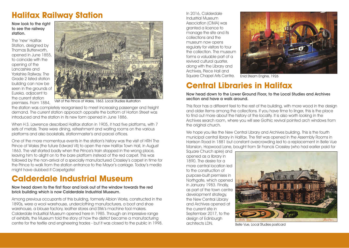# **Halifax Railway Station**

#### Now look to the right to see the railway station.

The 'new' Halifax Station, designed by Thomas Butterworth, opened in June 1855, to coincide with the opening of the Lancashire and Yorkshire Railway. The Grade 2 listed station building can now be seen in the grounds of Eureka, adjacent to the current station premises. From 1884,



Visit of the Prince of Wales, 1863. Local Studies illustration

the station was completely reorganised to meet increasing passenger and freight demand. The current station approach opposite the bottom of Horton Street was introduced and the station in its new form opened in June 1886.

When H.S. Lawrence described Halifax station in 1905, it had five platforms, with 7 sets of metals. There were dining, refreshment and waiting rooms on the various platforms and also bookstalls, stationmaster's and parcel offices.

One of the more momentous events in the station's history was the visit of HRH The Prince of Wales (the future Edward VII) to open the new Halifax Town Hall, in August 1863. The visit started badly when the Prince's train stopped in the wrong place, leaving him to alight on to the bare platform instead of the red carpet. This was followed by the non-arrival of a specially manufactured Crossley's carpet in time for the Prince to walk from the station entrance to the Mayor's carriage. Today's media might have dubbed it Carpetgate!

### **Calderdale Industrial Museum**

#### Now head down to the first floor and look out of the window towards the red brick building which is now Calderdale Industrial Museum.

Among previous occupants of this building, formerly Albion Works, constructed in the 1890s, were a wool warehouse, underclothing manufacturers, a boot and shoe warehouse, a blouse factory, leather stores and Stirk's machine tool makers. Calderdale Industrial Museum opened here in 1985. Through an impressive range of exhibits, the Museum told the story of how the district became a manufacturing centre for the textile and engineering trades - but it was closed to the public in 1998.

In 2016, Calderdale Industrial Museum Association (CIMA) was granted a licence to manage the site and its collections and the museum now opens regularly for visitors to tour the collection. The museum forms a valuable part of a revived cultural quarter, along with the Library and Archives, Piece Hall and Square Chapel Arts Centre.



Enid Steam Engine, 1926

# **Central Libraries in Halifax**

Now head down to the Lower Ground Floor, to the Local Studies and Archives section and have a walk around.

This floor has a different feel to the rest of the building, with more wood in the design and older items among the collections. If you have time to linger, this is the place to find out more about the history of the locality. It is also worth looking in the Archives search room, where you will see Gothic revival pointed arch windows from the original church.

We hope you like the New Central Library and Archives building. This is the fourth municipal central library in Halifax. The first was opened in the Assembly Rooms in Harrison Road in 1881 but constant overcrowding led to a replacement in Belle Vue Mansion, Hopwood Lane, bought from Sir Francis Crossley (who had earlier paid for

Square Church spire) and opened as a library in 1890. The desire for a more central location led to the construction of purpose-built premises in Northaate, which opened in January 1983. Finally, as part of the town centre development strategy, the New Central Library and Archives opened at the current site in September 2017, to the design of Edinburgh architects LDN.



Belle Vue, Local Studies postcard